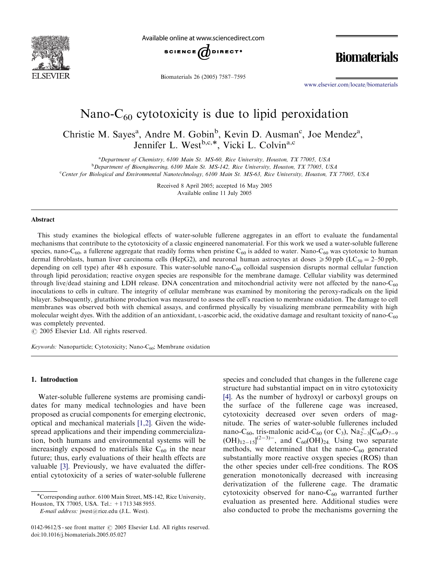

Available online at www.sciencedirect.com



Biomaterials 26 (2005) 7587–7595

**Biomaterials** 

www.elsevier.com/locate/biomaterials

# Nano- $C_{60}$  cytotoxicity is due to lipid peroxidation

Christie M. Sayes<sup>a</sup>, Andre M. Gobin<sup>b</sup>, Kevin D. Ausman<sup>c</sup>, Joe Mendez<sup>a</sup>, Jennifer L. West<sup>b,c,\*</sup>, Vicki L. Colvin<sup>a,c</sup>

<sup>a</sup> Department of Chemistry, 6100 Main St. MS-60, Rice University, Houston, TX 77005, USA <sup>b</sup>Department of Bioengineering, 6100 Main St. MS-142, Rice University, Houston, TX 77005, USA c Center for Biological and Environmental Nanotechnology, 6100 Main St. MS-63, Rice University, Houston, TX 77005, USA

> Received 8 April 2005; accepted 16 May 2005 Available online 11 July 2005

#### Abstract

This study examines the biological effects of water-soluble fullerene aggregates in an effort to evaluate the fundamental mechanisms that contribute to the cytotoxicity of a classic engineered nanomaterial. For this work we used a water-soluble fullerene species, nano-C<sub>60</sub>, a fullerene aggregate that readily forms when pristine C<sub>60</sub> is added to water. Nano-C<sub>60</sub> was cytotoxic to human dermal fibroblasts, human liver carcinoma cells (HepG2), and neuronal human astrocytes at doses  $\geq 50$  ppb (LC<sub>50</sub> = 2–50 ppb, depending on cell type) after  $48 h$  exposure. This water-soluble nano-C<sub>60</sub> colloidal suspension disrupts normal cellular function through lipid peroxidation; reactive oxygen species are responsible for the membrane damage. Cellular viability was determined through live/dead staining and LDH release. DNA concentration and mitochondrial activity were not affected by the nano- $C_{60}$ inoculations to cells in culture. The integrity of cellular membrane was examined by monitoring the peroxy-radicals on the lipid bilayer. Subsequently, glutathione production was measured to assess the cell's reaction to membrane oxidation. The damage to cell membranes was observed both with chemical assays, and confirmed physically by visualizing membrane permeability with high molecular weight dyes. With the addition of an antioxidant, L-ascorbic acid, the oxidative damage and resultant toxicity of nano- $C_{60}$ was completely prevented.

 $\odot$  2005 Elsevier Ltd. All rights reserved.

Keywords: Nanoparticle; Cytotoxicity; Nano-C<sub>60</sub>; Membrane oxidation

## 1. Introduction

Water-soluble fullerene system[s](#page-7-0) [are](#page-7-0) promising candidates for many medical technologies and have been proposed as crucial components for emerging electronic, optical and mechanical materials [1,2]. Given the widespread a[ppli](#page-7-0)cations and their impending commercialization, both humans and environmental systems will be increasingly exposed to materials like  $C_{60}$  in the near future; thus, early evaluations of their health effects are valuable [3]. Previously, we have evaluated the differential cytotoxicity of a series of water-soluble fullerene

E-mail address: jwest@rice.edu (J.L. West).

species and concluded that changes in the fullerene cage structure had substantial impact on in vitro cytotoxicity [4]. As the number of hydroxyl or carboxyl groups on the surface of the fullerene cage was increased, cytotoxicity decreased over seven orders of magnitude. The series of water-soluble fullerenes included nano-C<sub>60</sub>, tris-malonic acid-C<sub>60</sub> (or C<sub>3</sub>),  $Na_{2-3}^{+}[C_{60}O_{7-9}]$  $(OH)_{12-15}]^{(2-3)-}$ , and  $C_{60}(OH)_{24}$ . Using two separate methods, we determined that the nano- $C_{60}$  generated substantially more reactive oxygen species (ROS) than the other species under cell-free conditions. The ROS generation monotonically decreased with increasing derivatization of the fullerene cage. The dramatic cytotoxicity observed for nano- $C_{60}$  warranted further evaluation as presented here. Additional studies were also conducted to probe the mechanisms governing the

Corresponding author. 6100 Main Street, MS-142, Rice University, Houston, TX 77005, USA. Tel.: +1 713 348 5955.

<sup>0142-9612/\$ -</sup> see front matter  $\odot$  2005 Elsevier Ltd. All rights reserved. doi:10.1016/j.biomaterials.2005.05.027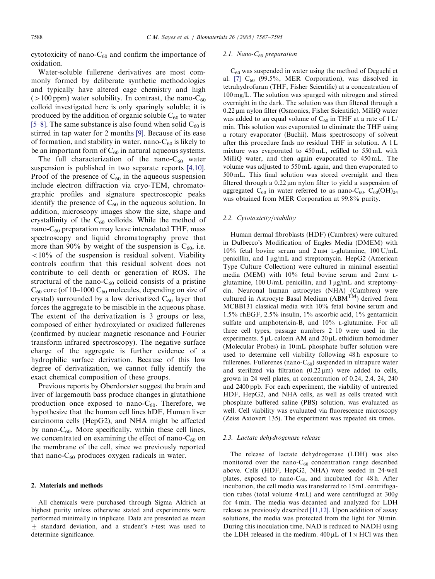cytotoxicity of nano- $C_{60}$  and confirm the importance of oxidation.

Water-soluble fullerene derivatives are most commonly formed by deliberate synthetic methodologies [and](#page-7-0) typically have altered cage chemistry and high ( $>100$  ppm) water solubility. In [con](#page-7-0)trast, the nano-C<sub>60</sub> colloid investigated here is only sparingly soluble; it is produced by the addition of organic soluble  $C_{60}$  to water [5–8]. The same substance is also found when solid  $C_{60}$  is stirred in tap water for 2 months [9]. Because of i[ts ease](#page-7-0) of formation, and stability in water, nano- $C_{60}$  is likely to be an important form of  $C_{60}$  in natural aqueous systems.

The full characterization of the nano- $C_{60}$  water suspension is published in two separate reports [4,10]. Proof of the presence of  $C_{60}$  in the aqueous suspension include electron diffraction via cryo-TEM, chromatographic profiles and signature spectroscopic peaks identify the presence of  $C_{60}$  in the aqueous solution. In addition, microscopy images show the size, shape and crystallinity of the  $C_{60}$  colloids. While the method of nano- $C_{60}$  preparation may leave intercalated THF, mass spectroscopy and liquid chromatography prove that more than 90% by weight of the suspension is  $C_{60}$ , i.e.  $10\%$  of the suspension is residual solvent. Viability controls confirm that this residual solvent does not contribute to cell death or generation of ROS. The structural of the nano- $C_{60}$  colloid consists of a pristine  $C_{60}$  core (of 10–1000  $C_{60}$  molecules, depending on size of crystal) surrounded by a low derivatized  $C_{60}$  layer that forces the aggregate to be miscible in the aqueous phase. The extent of the derivatization is 3 groups or less, composed of either hydroxylated or oxidized fullerenes (confirmed by nuclear magnetic resonance and Fourier transform infrared spectroscopy). The negative surface charge of the aggregate is further evidence of a hydrophilic surface derivation. Because of this low degree of derivatization, we cannot fully identify the exact chemical composition of these groups.

Previous reports by Oberdorster suggest the brain and liver of largemouth bass produce changes in glutathione production once exposed to nano- $C_{60}$ . Therefore, we hypothesize that the human cell lines hDF, Human liver carcinoma cells (HepG2), and NHA might be affected by nano- $C_{60}$ . More specifically, within these cell lines, we concentrated on examining the effect of nano- $C_{60}$  on the membrane of the cell, since we previously reported that nano- $C_{60}$  produces oxygen radicals in water.

#### 2. Materials and methods

All chemicals were purchased through Sigma Aldrich at highest purity unless otherwise stated and experiments were performed minimally in triplicate. Data are presented as mean  $\pm$  standard deviation, and a student's *t*-test was used to determine significance.

#### 2.1. Nano- $C_{60}$  preparation

 $C_{60}$  was suspended in water using the method of Deguchi et al. [7]  $C_{60}$  (99.5%, MER Corporation), was dissolved in tetrahydrofuran (THF, Fisher Scientific) at a concentration of 100 mg/L. The solution was sparged with nitrogen and stirred overnight in the dark. The solution was then filtered through a 0.22 µm nylon filter (Osmonics, Fisher Scientific). MilliQ water was added to an equal volume of  $C_{60}$  in THF at a rate of  $1 L/$ min. This solution was evaporated to eliminate the THF using a rotary evaporator (Buchii). Mass spectroscopy of solvent after this procedure finds no residual THF in solution. A 1 L mixture was evaporated to 450 mL, refilled to 550 mL with MilliQ water, and then again evaporated to 450 mL. The volume was adjusted to 550 mL again, and then evaporated to 500 mL. This final solution was stored overnight and then filtered through a  $0.22 \mu m$  nylon filter to yield a suspension of aggregated  $C_{60}$  in water referred to as nano- $C_{60}$ .  $C_{60}$ (OH)<sub>24</sub> was obtained from MER Corporation at 99.8% purity.

#### 2.2. Cytotoxicity/viability

Human dermal fibroblasts (HDF) (Cambrex) were cultured in Dulbecco's Modification of Eagles Media (DMEM) with  $10\%$  fetal bovine serum and  $2 \text{ mm}$  L-glutamine,  $100 \text{ U/mL}$ penicillin, and  $1 \mu g/mL$  and streptomycin. HepG2 (American Type Culture Collection) were cultured in minimal essential media (MEM) with 10% fetal bovine serum and 2 mm Lglutamine,  $100 \text{ U/mL}$  penicillin, and  $1 \mu\text{g/mL}$  and streptomycin. Neuronal human astrocytes (NHA) (Cambrex) were cultured in Astrocyte Basal Medium  $(ABM<sup>TM</sup>)$  derived from MCBB131 classical media with 10% fetal bovine serum and 1.5% rhEGF, 2.5% insulin, 1% ascorbic acid, 1% gentamicin sulfate and amphotericin-B, and 10% L-glutamine. For all three cell types, passage numbers 2–10 were used in the experiments.  $5 \mu L$  calcein AM and  $20 \mu L$  ethidium homodimer (Molecular Probes) in 10 mL phosphate buffer solution were used to determine cell viability following 48 h exposure to fullerenes. Fullerenes (nano- $C_{60}$ ) suspended in ultrapure water and sterilized via filtration  $(0.22 \,\mu\text{m})$  were added to cells, grown in 24 well plates, at concentration of 0.24, 2.4, 24, 240 and 2400 ppb. For each experiment, the viability of untreated HDF, HepG2, and NHA cells, as well as cells treated with phosphate buffered saline (PBS) solution, was evaluated as well. Cell viability was evaluated via fluorescence microscopy (Zeiss Axiovert 135). The experiment was repeated six times.

#### 2.3. Lactate dehydrogenase release

The release of lactate dehydrogenase (LDH) was also monitored over the nano- $C_{60}$  concentration range described above. Cells (HDF, HepG2, NHA) were seeded in 24-well plates, exposed to nano- $C_{60}$ , [and in](#page-7-0)cubated for 48 h. After incubation, the cell media was transferred to 15 mL centrifugation tubes (total volume 4 mL) and were centrifuged at 300g for 4 min. The media was decanted and analyzed for LDH release as previously described [11,12]. Upon addition of assay solutions, the media was protected from the light for 30 min. During this inoculation time, NAD is reduced to NADH using the LDH released in the medium.  $400 \mu L$  of  $1 \text{ N}$  HCl was then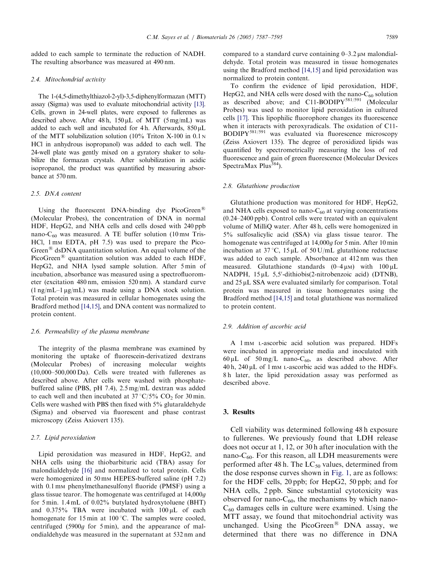added to each sample to terminate the reduction of NADH. The resulting absorbance was measured at 490 nm.

#### 2.4. Mitochondrial activity

The 1-(4,5-dimethylthiazol-2-yl)-3,5-diphenylformazan (MTT) assay (Sigma) was used to evaluate mitochondrial activity [13]. Cells, grown in 24-well plates, were exposed to fullerenes as described above. After  $48 h$ ,  $150 \mu L$  of MTT (5 mg/mL) was added to each well and incubated for 4h. Afterwards,  $850 \mu L$ of the MTT solubilization solution (10% Triton X-100 in 0.1 <sup>N</sup> HCl in anhydrous isopropanol) was added to each well. The 24-well plate was gently mixed on a gyratory shaker to solubilize the formazan crystals. After solubilization in acidic isopropanol, the product was quantified by measuring absorbance at 570 nm.

#### 2.5. DNA content

Using the fluorescent DNA-binding dye PicoGreen<sup>®</sup> (Molecular Probes), the concentration of DNA in normal HDF, HepG2, and NHA cells and cells dosed with 240 ppb nano- $C_{60}$  was measured. A TE buffer solution (10 mm Tris-HCl, 1 mm EDTA, pH 7.5) was used to prepare the Pico-Green<sup>®</sup> dsDNA quantitation solution. An equal volume of the PicoGreen® quantitation solution was added to each HDF, HepG2, and NHA lysed sample solution. After 5 min of incubation, absor[bance w](#page-7-0)as measured using a spectrofluorometer (excitation 480 nm, emission 520 nm). A standard curve  $(1 \text{ ng/mL}-1 \text{ ng/mL})$  was made using a DNA stock solution. Total protein was measured in cellular homogenates using the Bradford method [14,15], and DNA content was normalized to protein content.

#### 2.6. Permeability of the plasma membrane

The integrity of the plasma membrane was examined by monitoring the uptake of fluorescein-derivatized dextrans (Molecular Probes) of increasing molecular weights (10,000–500,000 Da). Cells were treated with fullerenes as described above. After cells were washed with phosphatebuffered saline (PBS, pH 7.4), 2.5 mg/mL dextran was added to each well and then incubated at  $37 \degree C/5\%$  CO<sub>2</sub> for 30 min. Cells were washed with PBS then fixed with 5% glutaraldehyde (Sigma) and observed via fluorescent and phase contrast microscopy (Zeiss Axiovert 135).

## 2.7. Lipid peroxid[atio](#page-7-0)n

Lipid peroxidation was measured in HDF, HepG2, and NHA cells using the thiobarbituric acid (TBA) assay for malondialdehyde [16] and normalized to total protein. Cells were homogenized in 50 mm HEPES-buffered saline (pH 7.2) with 0.1 mm phenylmethanesulfonyl fluoride (PMSF) using a glass tissue tearor. The homogenate was centrifuged at 14,000g for 5 min. 1.4 mL of 0.02% butylated hydroxytoluene (BHT) and  $0.375\%$  TBA were incubated with  $100 \mu L$  of each homogenate for 15 min at 100 °C. The samples were cooled, centrifuged (5900g for 5 min), and the appearance of malondialdehyde was measured in the supernatant at 532 nm and

compared to a standard curve containing  $0-3.2 \mu$ M malondialdehyde. Total protein was measured in tissue homogenates using the Bradford method [14,15] and lipid peroxidation was normalized to protein content.

T[o co](#page-7-0)nfirm the evidence of lipid peroxidation, HDF, HepG2, and NHA cells were dosed with the nano- $C_{60}$  solution as described above; and C11-BODIPY<sup>581/591</sup> (Molecular Probes) was used to monitor lipid peroxidation in cultured cells [17]. This lipophilic fluorophore changes its fluorescence when it interacts with peroxyradicals. The oxidation of C11- BODIPY<sup>581/591</sup> was evaluated via fluorescence microscopy (Zeiss Axiovert 135). The degree of peroxidized lipids was quantified by spectrometrically measuring the loss of red fluorescence and gain of green fluorescence (Molecular Devices SpectraMax  $Plus^{384}$ ).

#### 2.8. Glutathione production

Glutathione production was monitored for HDF, HepG2, and NHA cells exposed to nano- $C_{60}$  at varying concentrations (0.24–2400 ppb). Control cells were treated with an equivalent volume of MilliQ water. After 48 h, cells were homogenized in 5% sulfosalicylic acid (SSA) via glass tissue tearor. The homogenate was centrifuged at 14,000g for 5 min. After 10 min incubation at  $37^{\circ}$ C,  $15 \mu$ L of  $50 \text{ U/mL}$  glutathione reductase was added to each sample. Absorbance at 412 nm was then measured. Glut[athione](#page-7-0) standards  $(0-4 \mu M)$  with  $100 \mu L$ NADPH, 15 µL 5,5'-dithiobis(2-nitrobenzoic acid) (DTNB), and  $25 \mu L$  SSA were evaluated similarly for comparison. Total protein was measured in tissue homogenates using the Bradford method [14,15] and total glutathione was normalized to protein content.

## 2.9. Addition of ascorbic acid

A 1mM L-ascorbic acid solution was prepared. HDFs were incubated in appropriate media and inoculated with 60 µL of  $50 \text{ mg/L}$  nano-C<sub>60</sub>, as described above. After  $40 h$ ,  $240 \mu L$  of 1 mm L-ascorbic acid was added to the HDFs. 8 h later, the lipid peroxidation assay was performed as described above.

#### 3. Results

Cell viability was determined following 48 h exposure to fullerenes. We previously fou[nd tha](#page-3-0)t LDH release does not occur at 1, 12, or 30 h after inoculation with the nano- $C_{60}$ . For this reason, all LDH measurements were performed after 48 h. The  $LC_{50}$  values, determined from the dose response curves shown in Fig. 1, are as follows: for the HDF cells, 20 ppb; for HepG2, 50 ppb; and for NHA cells, 2 ppb. Since substantial cytotoxicity was observed for nano- $C_{60}$ , the mechanisms by which nano- $C_{60}$  damages cells in culture were examined. Using the MTT assay, we found that mitochondrial activity was unchanged. Using the PicoGreen<sup>®</sup> DNA assay, we determined that there was no difference in DNA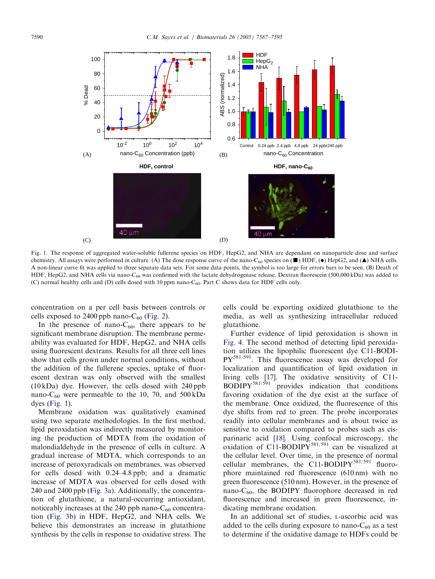<span id="page-3-0"></span>

Fig. 1. The response of aggregated water-soluble fullerene species on HDF, HepG2, and NHA are dependant on nanoparticle dose and surface chemistry. All assays were performed in culture. (A) The dose response curve of the nano-C<sub>60</sub> species on ( $\blacksquare$ ) HDF, ( $\bullet$ ) HepG2, and ( $\blacktriangle$ ) NHA cells. A non-linear curve fit was applied to three separate data sets. For some data points, the symbol is too large for errors bars to be seen. (B) Death of HDF, HepG2, and NHA cells via nano-C<sub>60</sub> was confirmed with the lactate dehydrogenase release. Dextran fluorescein (500,000 kDa) was added to (C) normal healthy cells and (D) cells dosed [with 10 p](#page-4-0)pm nano- $C_{60}$ . Part C shows data for HDF cells only.

concentration on a per cell basis between controls or cells exposed to 2400 ppb nano- $C_{60}$  (Fig. 2).

In the presence of nano- $C_{60}$ , there appears to be significant membrane disruption. The membrane permeability was evaluated for HDF, HepG2, and NHA cells using fluorescent dextrans. Results for all three cell lines show that cells grown under normal conditions, without the addition of the fullerene species, uptake of fluorescent dextran was only observed with the smallest (10 kDa) dye. However, the cells dosed with 240 ppb nano- $C_{60}$  were permeable to the 10, 70, and 500 kDa dyes  $(Fig. 1)$ .

Membrane oxidation was qualitatively examined using two separate methodologies. In the first method, lipid peroxidation was indirectly measured by monitoring the production of MDTA from the oxidation of malondialdehyde in the presence of cells in culture. A gradual increase [of MDT](#page-4-0)A, which corresponds to an increase of peroxyradicals on membranes, was observed for cells dosed with 0.24–4.8 ppb; and a dramatic incre[ase of M](#page-4-0)DTA was observed for cells dosed with 240 and 2400 ppb (Fig. 3a). Additionally, the concentration of glutathione, a natural-occurring antioxidant, noticeably increases at the 240 ppb nano- $C_{60}$  concentration (Fig. 3b) in HDF, HepG2, and NHA cells. We believe this demonstrates an increase in glutathione synthesis by the cells in response to oxidative stress. The

[cells c](#page-5-0)ould be exporting oxidized glutathione to the media, as well as synthesizing intracellular reduced glutathione.

Further evidence of lipid peroxidation is shown in Fig. 4. The s[econ](#page-7-0)d method of detecting lipid peroxidation utilizes the lipophilic fluorescent dye C11-BODI- $PY^{581/591}$ . This fluorescence assay was developed for localization and quantification of lipid oxidation in living cells [17]. The oxidative sensitivity of C11-  $BODIPY^{581/591}$  provides indication that conditions favoring oxidation of the dye exist at the surface of the membrane. [Onc](#page-7-0)e oxidized, the fluorescence of this dye shifts from red to green. The probe incorporates readily into cellular membranes and is about twice as sensitive to oxidation compared to probes such as cisparinaric acid [18]. Using confocal microscopy, the oxidation of C11-BODIPY $^{581/591}$  can be visualized at the cellular level. Over time, in the presence of normal cellular membranes, the C11-BODIPY<sup>581/591</sup> fluorophore maintained red fluorescence (610 nm) with no green fluorescence (510 nm). However, in the presence of nano- $C_{60}$ , the BODIPY fluorophore decreased in red fluorescence and increased in green fluorescence, indicating membrane oxidation.

In an additional set of studies, L-ascorbic acid was added to the cells during exposure to nano- $C_{60}$  as a test to determine if the oxidative damage to HDFs could be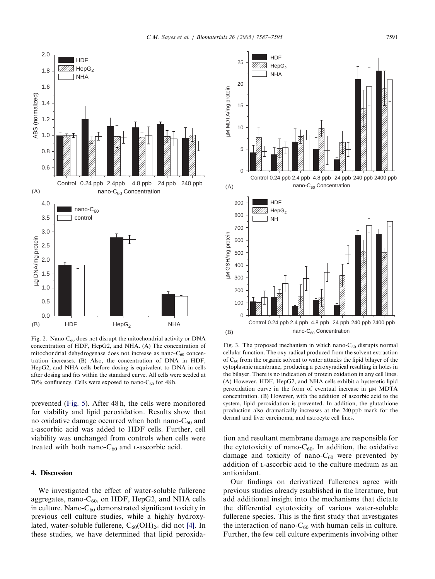<span id="page-4-0"></span>

Fig. 2. Nano- $C_{60}$  does not disrupt the mitochondrial activity or DNA concentration of HDF, HepG2, and NHA. (A) The concentration of mitochondrial dehydrogenase does not increase as nano- $C_{60}$  concentration increases. (B) Also, the concentration of DNA in HDF, HepG2, and [NHA ce](#page-6-0)lls before dosing is equivalent to DNA in cells after dosing and fits within the standard curve. All cells were seeded at 70% confluency. Cells were exposed to nano- $C_{60}$  for 48 h.

prevented (Fig. 5). After 48 h, the cells were monitored for viability and lipid peroxidation. Results show that no oxidative damage occurred when both nano- $C_{60}$  and L-ascorbic acid was added to HDF cells. Further, cell viability was unchanged from controls when cells were treated with both nano- $C_{60}$  and L-ascorbic acid.

## 4. Discussion

We investigated the effect of water-soluble fu[ller](#page-7-0)ene aggregates, nano- $C_{60}$ , on HDF, HepG2, and NHA cells in culture. Nano- $C_{60}$  demonstrated significant toxicity in previous cell culture studies, while a highly hydroxylated, water-soluble fullerene,  $C_{60}(OH)_{24}$  did not [4]. In these studies, we have determined that lipid peroxida-



Fig. 3. The proposed mechanism in which nano- $C_{60}$  disrupts normal cellular function. The oxy-radical produced from the solvent extraction of  $C_{60}$  from the organic solvent to water attacks the lipid bilayer of the cytoplasmic membrane, producing a peroxyradical resulting in holes in the bilayer. There is no indication of protein oxidation in any cell lines. (A) However, HDF, HepG2, and NHA cells exhibit a hysteretic lipid peroxidation curve in the form of eventual increase in  $\mu$ M MDTA concentration. (B) However, with the addition of ascorbic acid to the system, lipid peroxidation is prevented. In addition, the glutathione production also dramatically increases at the 240 ppb mark for the dermal and liver carcinoma, and astrocyte cell lines.

tion and resultant membrane damage are responsible for the cytotoxicity of nano- $C_{60}$ . In addition, the oxidative damage and toxicity of nano- $C_{60}$  were prevented by addition of L-ascorbic acid to the culture medium as an antioxidant.

Our findings on derivatized fullerenes agree with previous studies already established in the literature, but add additional insight into the mechanisms that dictate the differential cytotoxicity of various water-soluble fullerene species. This is the first study that investigates the interaction of nano- $C_{60}$  with human cells in culture. Further, the few cell culture experiments involving other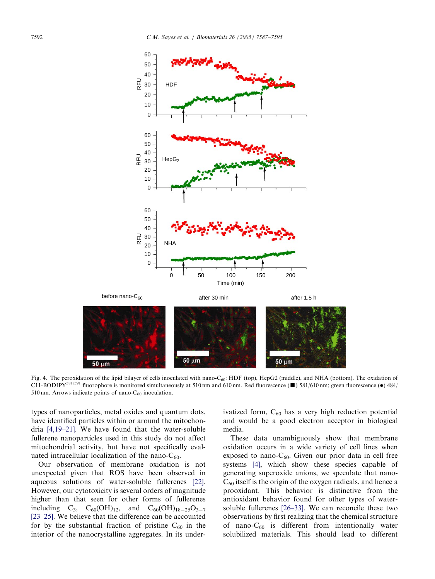

Fig. 4. The peroxidation of the lipid bilayer of cells inoculated with nano-C<sub>60</sub>: HDF (top), HepG2 (middle), and NHA (bottom). The oxidation of C11-BODIPY<sup>581/591</sup> fluorophore is monitored simultaneously at 510 nm and 610 nm. Red fluorescence ( $\blacksquare$ ) 581/610 nm; green fluorescence ( $\bullet$ ) 484/ 510 n[m. Arrows in](#page-7-0)dicate points of nano- $C_{60}$  inoculation.

types of nanoparticles, metal oxides and quantum dots, have identified particles within or around the mitochondria [4,19–21]. We have found that the water-soluble fullerene nanoparticles used in this study do not affect mitochondrial activity, but have not specifically [eval](#page-7-0)uated intracellular localization of the nano- $C_{60}$ .

Our observation of membrane oxidation is not unexpected given that ROS have been observed in [aqueou](#page-7-0)s solutions of water-soluble fullerenes [22]. However, our cytotoxicity is several orders of magnitude higher than that seen for other forms of fullerenes including  $C_3$ ,  $C_{60}(OH)_{12}$ , and  $C_{60}(OH)_{18-25}O_{3-7}$ [23–25]. We believe that the difference can be accounted for by the substantial fraction of pristine  $C_{60}$  in the interior of the nanocrystalline aggregates. In its underivatized form,  $C_{60}$  has a very high reduction potential and would be a good electron acceptor in biological media.

These [da](#page-7-0)ta unambiguously show that membrane oxidation occurs in a wide variety of cell lines when exposed to nano- $C_{60}$ . Given our prior data in cell free systems [4], which show these species capable of generating supero[xide an](#page-7-0)ions, we speculate that nano- $C_{60}$  itself is the origin of the oxygen radicals, and hence a prooxidant. This behavior is distinctive from the antioxidant behavior found for other types of watersoluble fullerenes [26–33]. We can reconcile these two observations by first realizing that the chemical structure of nano- $C_{60}$  is different from intentionally water solubilized materials. This should lead to different

<span id="page-5-0"></span>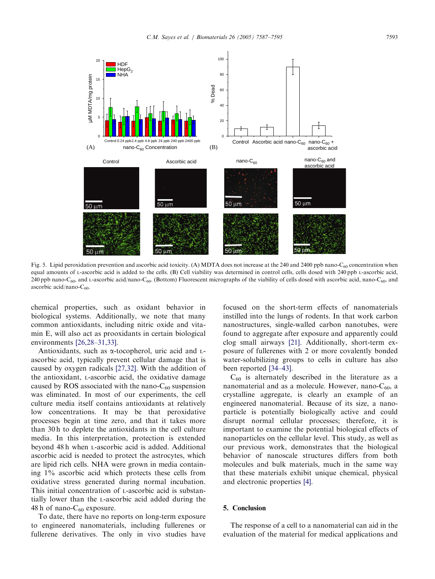<span id="page-6-0"></span>

Fig. 5. Lipid peroxidation prevention and ascorbic acid toxicity. (A) MDTA does not increase at the 240 and 2400 ppb nano-C<sub>60</sub> concentration when equal amounts of L-ascorbic acid is added to the cells. (B) Cell viability was determined in control cells, cells dosed with 240 ppb L-ascorbic acid, 240 ppb nano-C<sub>60</sub>, and L-ascorbic acid/nano-C<sub>60</sub>. (Bottom) Fluorescent micrographs of the viability of cells dosed with ascorbic acid, nano-C<sub>60</sub>, and ascorbic acid/nano- $C_{60}$ .

chemical pro[perties, such](#page-7-0) as oxidant behavior in biological systems. Additionally, we note that many common antioxidants, including nitric oxide and vitamin E, will also act as pro[oxidant](#page-7-0)s in certain biological environments [26,28–31,33].

Antioxidants, such as  $\alpha$ -tocopherol, uric acid and Lascorbic acid, typically prevent cellular damage that is caused by oxygen radicals [27,32]. With the addition of the antioxidant, L-ascorbic acid, the oxidative damage caused by ROS associated with the nano- $C_{60}$  suspension was eliminated. In most of our experiments, the cell culture media itself contains antioxidants at relatively low concentrations. It may be that peroxidative processes begin at time zero, and that it takes more than 30 h to deplete the antioxidants in the cell culture media. In this interpretation, protection is extended beyond 48 h when L-ascorbic acid is added. Additional ascorbic acid is needed to protect the astrocytes, which are lipid rich cells. NHA were grown in media containing 1% ascorbic acid which protects these cells from oxidative stress generated during normal incubation. This initial concentration of L-ascorbic acid is substantially lower than the L-ascorbic acid added during the 48 h of nano- $C_{60}$  exposure.

To date, there have no reports on long-term exposure to engineered nanomaterials, including fullerenes or fullerene derivatives. The only in vivo studies have

focused on the sh[ort-t](#page-7-0)erm effects of nanomaterials instilled into the lungs of rodents. In that work carbon nanostructures, single-walled carbon nanotubes, were found to aggr[egate aft](#page-8-0)er exposure and apparently could clog small airways [21]. Additionally, short-term exposure of fullerenes with 2 or more covalently bonded water-solubilizing groups to cells in culture has also been reported [34–43].

 $C_{60}$  is alternately described in the literature as a nanomaterial and as a molecule. However, nano- $C_{60}$ , a crystalline aggregate, is clearly an example of an engineered nanomaterial. Because of its size, a nanoparticle is potentially biologically active and could disrupt normal cellular processes; therefore, it is important to examine the potential biological effects of nanoparticles on the cellular level. This study, as well as our previous work, de[mon](#page-7-0)strates that the biological behavior of nanoscale structures differs from both molecules and bulk materials, much in the same way that these materials exhibit unique chemical, physical and electronic properties [4].

## 5. Conclusion

The response of a cell to a nanomaterial can aid in the evaluation of the material for medical applications and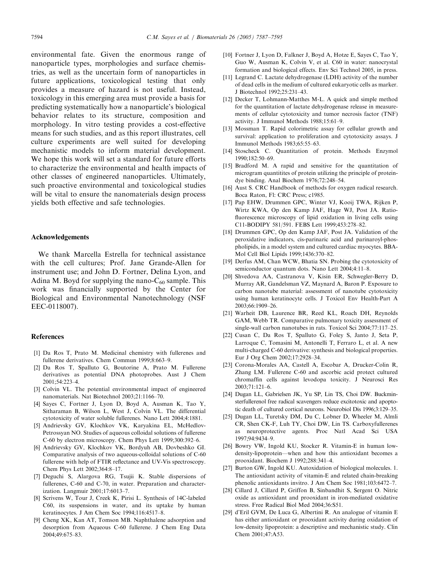<span id="page-7-0"></span>environmental fate. Given the enormous range of nanoparticle types, morphologies and surface chemistries, as well as the uncertain form of nanoparticles in future applications, toxicological testing that only provides a measure of hazard is not useful. Instead, toxicology in this emerging area must provide a basis for predicting systematically how a nanoparticle's biological behavior relates to its structure, composition and morphology. In vitro testing provides a cost-effective means for such studies, and as this report illustrates, cell culture experiments are well suited for developing mechanistic models to inform material development. We hope this work will set a standard for future efforts to characterize the environmental and health impacts of other classes of engineered nanoparticles. Ultimately, such proactive environmental and toxicological studies will be vital to ensure the nanomaterials design process yields both effective and safe technologies.

### Acknowledgements

We thank Marcella Estrella for technical assistance with the cell cultures; Prof. Jane Grande-Allen for instrument use; and John D. Fortner, Delina Lyon, and Adina M. Boyd for supplying the nano- $C_{60}$  sample. This work was financially supported by the Center for Biological and Environmental Nanotechnology (NSF EEC-0118007).

#### References

- [1] Da Ros T, Prato M. Medicinal chemistry with fullerenes and fullerene derivatives. Chem Commun 1999;8:663–9.
- [2] Da Ros T, Spalluto G, Boutorine A, Prato M. Fullerene derivatives as potential DNA photoprobes. Aust J Chem 2001;54:223–4.
- [3] Colvin VL. The potential environmental impact of engineered nanomaterials. Nat Biotechnol 2003;21:1166–70.
- [4] Sayes C, Fortner J, Lyon D, Boyd A, Ausman K, Tao Y, Sitharaman B, Wilson L, West J, Colvin VL. The differential cytotoxicity of water soluble fullerenes. Nano Lett 2004;4:1881.
- [5] Andrievsky GV, Klochkov VK, Karyakina EL, McHedlov-Petrossyan NO. Studies of aqueous colloidal solutions of fullerene C-60 by electron microscopy. Chem Phys Lett 1999;300:392–6.
- [6] Andrievsky GV, Klochkov VK, Bordyuh AB, Dovbeshko GI. Comparative analysis of two aqueous-colloidal solutions of C-60 fullerene with help of FTIR reflectance and UV-Vis spectroscopy. Chem Phys Lett 2002;364:8–17.
- [7] Deguchi S, Alargova RG, Tsujii K. Stable dispersions of fullerenes, C-60 and C-70, in water. Preparation and characterization. Langmuir 2001;17:6013–7.
- [8] Scrivens W, Tour J, Creek K, Pirisi L. Synthesis of 14C-labeled C60, its suspensions in water, and its uptake by human keratinocytes. J Am Chem Soc 1994;116:4517–8.
- [9] Cheng XK, Kan AT, Tomson MB. Naphthalene adsorption and desorption from Aqueous C-60 fullerene. J Chem Eng Data 2004;49:675–83.
- [10] Fortner J, Lyon D, Falkner J, Boyd A, Hotze E, Sayes C, Tao Y, Guo W, Ausman K, Colvin V, et al. C60 in water: nanocrystal formation and biological effects. Env Sci Technol 2005, in press.
- [11] Legrand C. Lactate dehydrogenase (LDH) activity of the number of dead cells in the medium of cultured eukaryotic cells as marker. J Biotechnol 1992;25:231–43.
- [12] Decker T, Lohmann-Matthes M-L. A quick and simple method for the quantitation of lactate dehydrogenase release in measurements of cellular cytotoxicity and tumor necrosis factor (TNF) activity. J Immunol Methods 1988;15:61–9.
- [13] Mossman T. Rapid colorimetric assay for cellular growth and survival: application to proliferation and cytotoxicity assays. J Immunol Methods 1983;65:55–63.
- [14] Stoscheck C. Quantitation of protein. Methods Enzymol 1990;182:50–69.
- [15] Bradford M. A rapid and sensitive for the quantitation of microgram quantitites of protein utilizing the principle of proteindye binding. Anal Biochem 1976;72:248–54.
- [16] Aust S. CRC Handbook of methods for oxygen radical research. Boca Raton, Fl: CRC Press; c1985.
- [17] Pap EHW, Drummen GPC, Winter VJ, Kooij TWA, Rijken P, Wirtz KWA, Op den Kamp JAF, Hage WJ, Post JA. Ratiofluorescence microscopy of lipid oxidation in living cells using C11-BODIPY 581/591. FEBS Lett 1999;453:278–82.
- [18] Drummen GPC, Op den Kamp JAF, Post JA. Validation of the peroxidative indicators, cis-parinaric acid and parinaroyl-phospholipids, in a model system and cultured cardiac myocytes. BBA-Mol Cell Biol Lipids 1999;1436:370–82.
- [19] Derfus AM, Chan WCW, Bhatia SN. Probing the cytotoxicity of semiconductor quantum dots. Nano Lett 2004;4:11–8.
- [20] Shvedova AA, Castranova V, Kisin ER, Schwegler-Berry D, Murray AR, Gandelsman VZ, Maynard A, Baron P. Exposure to carbon nanotube material: assessment of nanotube cytotoxicity using human keratinocyte cells. J Toxicol Env Health-Part A 2003;66:1909–26.
- [21] Warheit DB, Laurence BR, Reed KL, Roach DH, Reynolds GAM, Webb TR. Comparative pulmonary toxicity assessment of single-wall carbon nanotubes in rats. Toxicol Sci 2004;77:117–25.
- [22] Cusan C, Da Ros T, Spalluto G, Foley S, Janto J, Seta P, Larroque C, Tomasini M, Antonelli T, Ferraro L, et al. A new multi-charged C-60 derivative: synthesis and biological properties. Eur J Org Chem 2002;17:2928–34.
- [23] Corona-Morales AA, Castell A, Escobar A, Drucker-Colin R, Zhang LM. Fullerene C-60 and ascorbic acid protect cultured chromaffin cells against levodopa toxicity. J Neurosci Res  $2003.71.121 - 6$
- [24] Dugan LL, Gabrielsen JK, Yu SP, Lin TS, Choi DW. Buckminsterfullerenol free radical scavengers reduce excitotoxic and apoptotic death of cultured cortical neurons. Neurobiol Dis 1996;3:129–35.
- [25] Dugan LL, Turetsky DM, Du C, Lobner D, Wheeler M, Almli CR, Shen CK-F, Luh TY, Choi DW, Lin TS. Carboxyfullerenes as neuroprotective agents. Proc Natl Acad Sci USA 1997;94:9434–9.
- [26] Bowry VW, Ingold KU, Stocker R. Vitamin-E in human lowdensity-lipoprotein—when and how this antioxidant becomes a prooxidant. Biochem J 1992;288:341–4.
- [27] Burton GW, Ingold KU. Autoxidation of biological molecules. 1. The antioxidant activity of vitamin-E and related chain-breaking phenolic antioxidants invitro. J Am Chem Soc 1981;103:6472–7.
- [28] Cillard J, Cillard P, Griffon B, Sinbandhit S, Sergent O, Nitric oxide as antioxidant and prooxidant in iron-mediated oxidative stress. Free Radical Biol Med 2004;36:S51.
- [29] d'Eril GVM, De Luca G, Albertini R. An analogue of vitamin E has either antioxidant or prooxidant activity during oxidation of low-density lipoprotein: a descriptive and mechanistic study. Clin Chem 2001;47:A53.